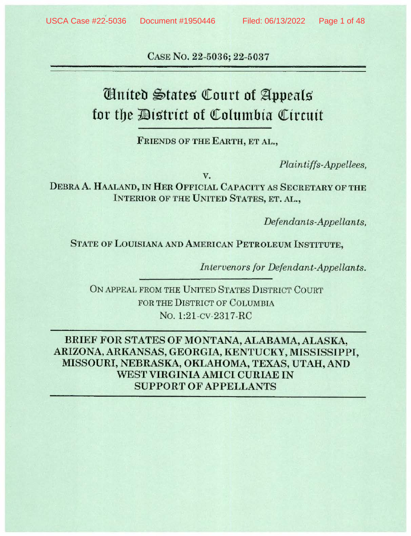CASE No. 22-5036; 22-5037

# Cinited States Court of Appeals for the District of Columbia Circuit

**FRIENDS OF THE EARTH, ET AL.,** 

*Plaintiffs-Appellees,* 

**v.** 

DEBRA A. HAALAND, IN HER OFFICIAL CAPACITY AS SECRETARY OF THE **INTERIOR OF THE UNITED STATES, ET. AL.,** 

*Defendants-Appellants,* 

**STATE OF LOUISIANA AND AMERICAN PETROLEUM INSTITUTE,** 

*Intervenors for Defendant-Appellants.* 

ON APPEAL FROM THE UNITED STATES DISTRICT COURT FOR THE DISTRICT OF COLUMBIA No. 1:21-cv-2317-RC

**BRIEF FOR STATES OF MONTANA, ALABAMA,ALASKA, ARIZONA, ARKANSAS, GEORGIA, KENTUCKY, MISSISSIPPI, MISSOURI, NEBRASKA, OKLAHOMA, TEXAS, UTAH, AND WEST VIRGINIA AMICI CURIAE IN SUPPORT OF APPELLANTS**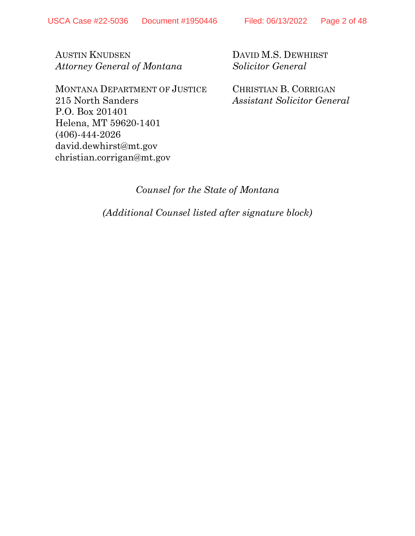AUSTIN KNUDSEN *Attorney General of Montana*

MONTANA DEPARTMENT OF JUSTICE 215 North Sanders P.O. Box 201401 Helena, MT 59620-1401 (406)-444-2026 david.dewhirst@mt.gov christian.corrigan@mt.gov

DAVID M.S. DEWHIRST *Solicitor General*

CHRISTIAN B. CORRIGAN *Assistant Solicitor General*

### *Counsel for the State of Montana*

*(Additional Counsel listed after signature block)*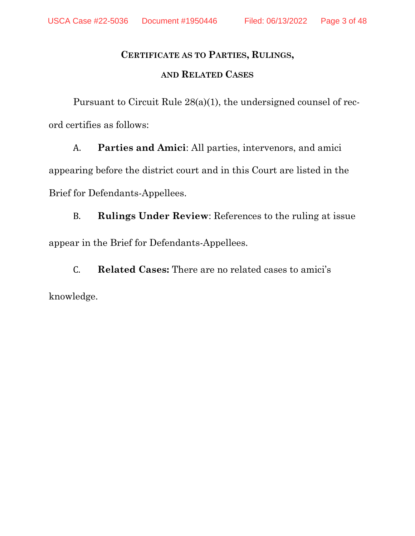### **CERTIFICATE AS TO PARTIES, RULINGS,**

#### **AND RELATED CASES**

Pursuant to Circuit Rule 28(a)(1), the undersigned counsel of record certifies as follows:

A. **Parties and Amici**: All parties, intervenors, and amici appearing before the district court and in this Court are listed in the Brief for Defendants-Appellees.

B. **Rulings Under Review**: References to the ruling at issue appear in the Brief for Defendants-Appellees.

C. **Related Cases:** There are no related cases to amici's knowledge.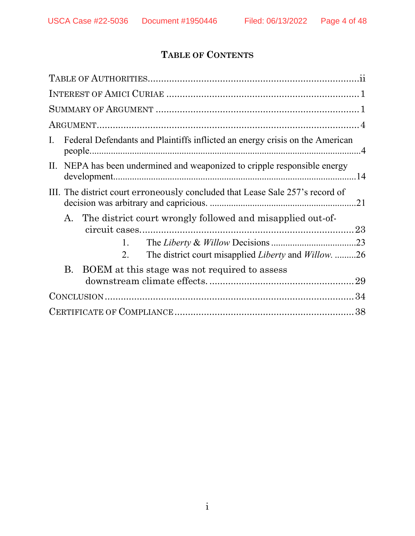# **TABLE OF CONTENTS**

| Federal Defendants and Plaintiffs inflicted an energy crisis on the American<br>$\mathbf{I}$ .                                                   |
|--------------------------------------------------------------------------------------------------------------------------------------------------|
| II. NEPA has been undermined and weaponized to cripple responsible energy                                                                        |
| III. The district court erroneously concluded that Lease Sale 257's record of                                                                    |
| A. The district court wrongly followed and misapplied out-of-<br>1.<br>The district court misapplied <i>Liberty</i> and <i>Willow</i> . 26<br>2. |
| BOEM at this stage was not required to assess<br>B.                                                                                              |
|                                                                                                                                                  |
|                                                                                                                                                  |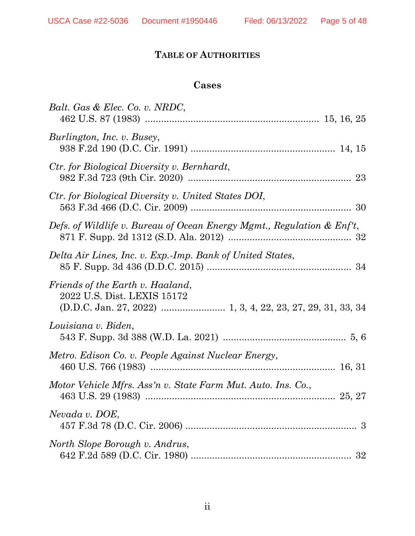# **TABLE OF AUTHORITIES**

# **Cases**

| Balt. Gas & Elec. Co. v. NRDC,                                         |
|------------------------------------------------------------------------|
| Burlington, Inc. v. Busey,                                             |
| Ctr. for Biological Diversity v. Bernhardt,                            |
| Ctr. for Biological Diversity v. United States DOI,                    |
| Defs. of Wildlife v. Bureau of Ocean Energy Mgmt., Regulation & Enf't, |
| Delta Air Lines, Inc. v. Exp.-Imp. Bank of United States,              |
| Friends of the Earth v. Haaland,<br>2022 U.S. Dist. LEXIS 15172        |
| Louisiana v. Biden,                                                    |
| Metro. Edison Co. v. People Against Nuclear Energy,                    |
| Motor Vehicle Mfrs. Ass'n v. State Farm Mut. Auto. Ins. Co.,           |
| Nevada v. DOE,                                                         |
| North Slope Borough v. Andrus,                                         |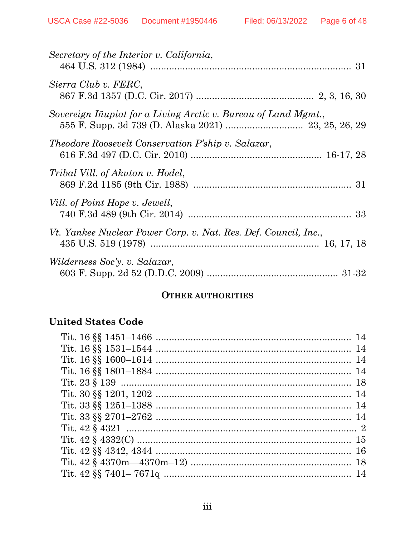| Secretary of the Interior v. California,                        |  |
|-----------------------------------------------------------------|--|
| Sierra Club v. FERC,                                            |  |
| Sovereign Iñupiat for a Living Arctic v. Bureau of Land Mgmt.,  |  |
| Theodore Roosevelt Conservation P'ship v. Salazar,              |  |
| Tribal Vill. of Akutan v. Hodel,                                |  |
| Vill. of Point Hope v. Jewell,                                  |  |
| Vt. Yankee Nuclear Power Corp. v. Nat. Res. Def. Council, Inc., |  |
| Wilderness Soc'y. v. Salazar,                                   |  |

### **OTHER AUTHORITIES**

# **United States Code**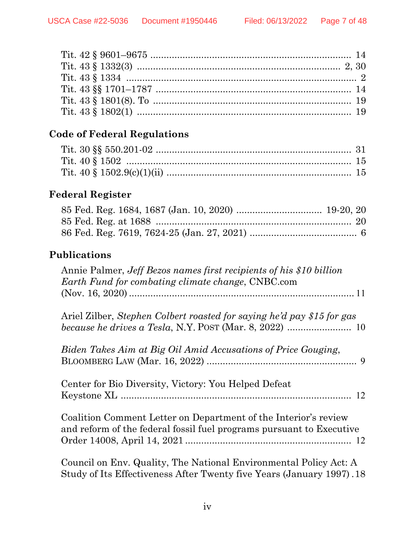# **Code of Federal Regulations**

# **Federal Register**

# **Publications**

| Annie Palmer, Jeff Bezos names first recipients of his \$10 billion<br>Earth Fund for combating climate change, CNBC.com                   |
|--------------------------------------------------------------------------------------------------------------------------------------------|
|                                                                                                                                            |
| Ariel Zilber, Stephen Colbert roasted for saying he'd pay \$15 for gas                                                                     |
| Biden Takes Aim at Big Oil Amid Accusations of Price Gouging,                                                                              |
| Center for Bio Diversity, Victory: You Helped Defeat                                                                                       |
| Coalition Comment Letter on Department of the Interior's review<br>and reform of the federal fossil fuel programs pursuant to Executive    |
| Council on Env. Quality, The National Environmental Policy Act: A<br>Study of Its Effectiveness After Twenty five Years (January 1997). 18 |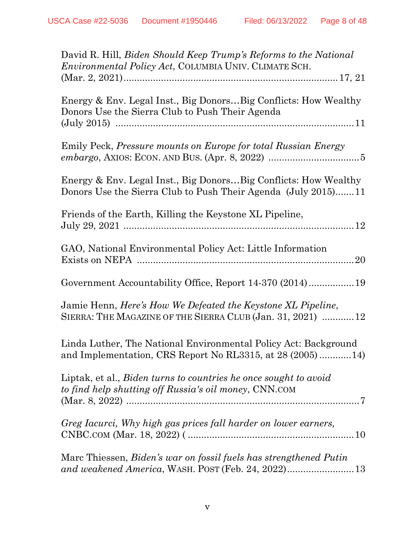| David R. Hill, <i>Biden Should Keep Trump's Reforms to the National</i><br><i>Environmental Policy Act</i> , COLUMBIA UNIV. CLIMATE SCH. |
|------------------------------------------------------------------------------------------------------------------------------------------|
| Energy & Env. Legal Inst., Big DonorsBig Conflicts: How Wealthy<br>Donors Use the Sierra Club to Push Their Agenda                       |
| Emily Peck, Pressure mounts on Europe for total Russian Energy                                                                           |
| Energy & Env. Legal Inst., Big DonorsBig Conflicts: How Wealthy<br>Donors Use the Sierra Club to Push Their Agenda (July 2015)11         |
| Friends of the Earth, Killing the Keystone XL Pipeline,                                                                                  |
| GAO, National Environmental Policy Act: Little Information                                                                               |
| Government Accountability Office, Report 14-370 (2014) 19                                                                                |
| Jamie Henn, Here's How We Defeated the Keystone XL Pipeline,<br>SIERRA: THE MAGAZINE OF THE SIERRA CLUB (Jan. 31, 2021)  12              |
| Linda Luther, The National Environmental Policy Act: Background<br>and Implementation, CRS Report No RL3315, at $28(2005)$ 14)           |
| Liptak, et al., Biden turns to countries he once sought to avoid<br>to find help shutting off Russia's oil money, CNN.COM                |
| Greg Iacurci, Why high gas prices fall harder on lower earners,                                                                          |
| Marc Thiessen, Biden's war on fossil fuels has strengthened Putin                                                                        |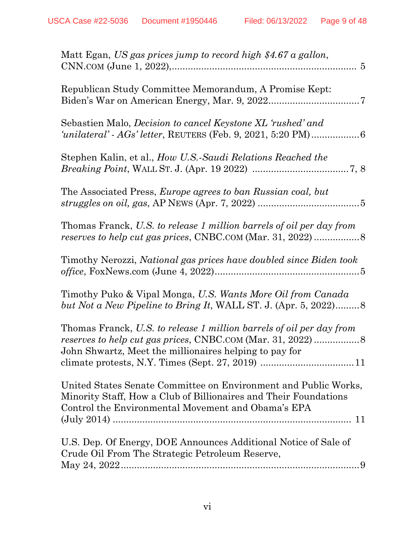| Matt Egan, US gas prices jump to record high \$4.67 a gallon,                                                                                                                             |
|-------------------------------------------------------------------------------------------------------------------------------------------------------------------------------------------|
| Republican Study Committee Memorandum, A Promise Kept:                                                                                                                                    |
| Sebastien Malo, <i>Decision to cancel Keystone XL 'rushed' and</i>                                                                                                                        |
| Stephen Kalin, et al., How U.S.-Saudi Relations Reached the                                                                                                                               |
| The Associated Press, <i>Europe agrees to ban Russian coal</i> , <i>but</i>                                                                                                               |
| Thomas Franck, U.S. to release 1 million barrels of oil per day from                                                                                                                      |
| Timothy Nerozzi, National gas prices have doubled since Biden took                                                                                                                        |
| Timothy Puko & Vipal Monga, U.S. Wants More Oil from Canada<br>but Not a New Pipeline to Bring It, WALL ST. J. (Apr. 5, 2022)8                                                            |
| Thomas Franck, U.S. to release 1 million barrels of oil per day from<br>John Shwartz, Meet the millionaires helping to pay for                                                            |
| United States Senate Committee on Environment and Public Works,<br>Minority Staff, How a Club of Billionaires and Their Foundations<br>Control the Environmental Movement and Obama's EPA |
| U.S. Dep. Of Energy, DOE Announces Additional Notice of Sale of<br>Crude Oil From The Strategic Petroleum Reserve,                                                                        |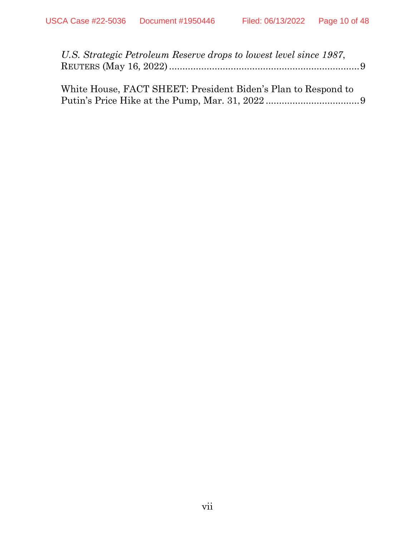| U.S. Strategic Petroleum Reserve drops to lowest level since 1987, |  |
|--------------------------------------------------------------------|--|
|                                                                    |  |
|                                                                    |  |
| White House, FACT SHEET: President Biden's Plan to Respond to      |  |

Putin's Price Hike at the Pump, Mar. 31, 2022 ................................... 9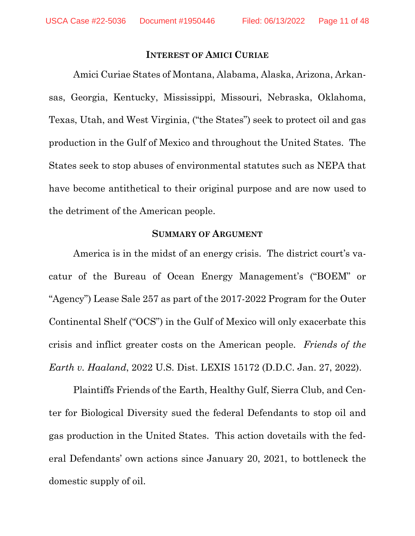#### **INTEREST OF AMICI CURIAE**

Amici Curiae States of Montana, Alabama, Alaska, Arizona, Arkansas, Georgia, Kentucky, Mississippi, Missouri, Nebraska, Oklahoma, Texas, Utah, and West Virginia, ("the States") seek to protect oil and gas production in the Gulf of Mexico and throughout the United States. The States seek to stop abuses of environmental statutes such as NEPA that have become antithetical to their original purpose and are now used to the detriment of the American people.

#### **SUMMARY OF ARGUMENT**

America is in the midst of an energy crisis. The district court's vacatur of the Bureau of Ocean Energy Management's ("BOEM" or "Agency") Lease Sale 257 as part of the 2017-2022 Program for the Outer Continental Shelf ("OCS") in the Gulf of Mexico will only exacerbate this crisis and inflict greater costs on the American people. *Friends of the Earth v. Haaland*, 2022 U.S. Dist. LEXIS 15172 (D.D.C. Jan. 27, 2022).

Plaintiffs Friends of the Earth, Healthy Gulf, Sierra Club, and Center for Biological Diversity sued the federal Defendants to stop oil and gas production in the United States. This action dovetails with the federal Defendants' own actions since January 20, 2021, to bottleneck the domestic supply of oil.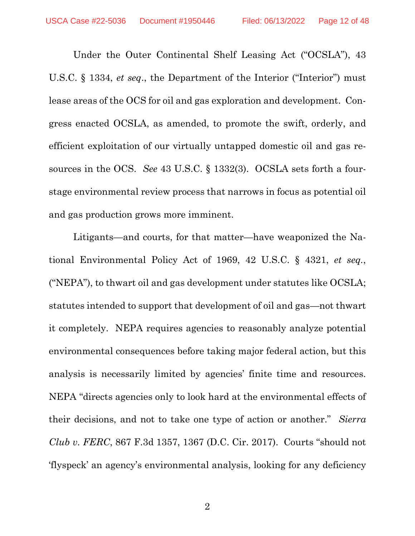Under the Outer Continental Shelf Leasing Act ("OCSLA"), 43 U.S.C. § 1334, *et seq*., the Department of the Interior ("Interior") must lease areas of the OCS for oil and gas exploration and development. Congress enacted OCSLA, as amended, to promote the swift, orderly, and efficient exploitation of our virtually untapped domestic oil and gas resources in the OCS. *See* 43 U.S.C. § 1332(3). OCSLA sets forth a fourstage environmental review process that narrows in focus as potential oil and gas production grows more imminent.

Litigants—and courts, for that matter—have weaponized the National Environmental Policy Act of 1969, 42 U.S.C. § 4321, *et seq.*, ("NEPA"), to thwart oil and gas development under statutes like OCSLA; statutes intended to support that development of oil and gas—not thwart it completely. NEPA requires agencies to reasonably analyze potential environmental consequences before taking major federal action, but this analysis is necessarily limited by agencies' finite time and resources. NEPA "directs agencies only to look hard at the environmental effects of their decisions, and not to take one type of action or another." *Sierra Club v. FERC*, 867 F.3d 1357, 1367 (D.C. Cir. 2017). Courts "should not 'flyspeck' an agency's environmental analysis, looking for any deficiency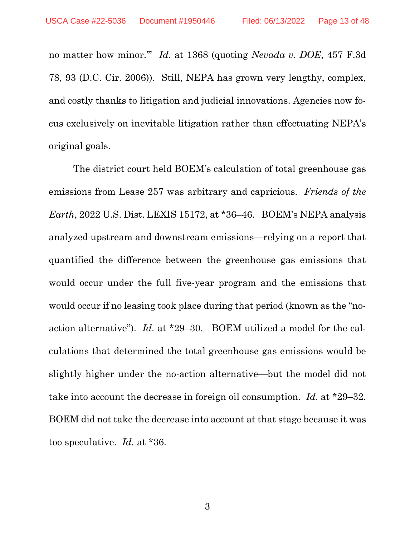no matter how minor.'" *Id.* at 1368 (quoting *Nevada v. DOE*, 457 F.3d 78, 93 (D.C. Cir. 2006)). Still, NEPA has grown very lengthy, complex, and costly thanks to litigation and judicial innovations. Agencies now focus exclusively on inevitable litigation rather than effectuating NEPA's original goals.

The district court held BOEM's calculation of total greenhouse gas emissions from Lease 257 was arbitrary and capricious. *Friends of the Earth*, 2022 U.S. Dist. LEXIS 15172, at \*36–46. BOEM's NEPA analysis analyzed upstream and downstream emissions—relying on a report that quantified the difference between the greenhouse gas emissions that would occur under the full five-year program and the emissions that would occur if no leasing took place during that period (known as the "noaction alternative"). *Id.* at \*29–30. BOEM utilized a model for the calculations that determined the total greenhouse gas emissions would be slightly higher under the no-action alternative—but the model did not take into account the decrease in foreign oil consumption. *Id.* at \*29–32. BOEM did not take the decrease into account at that stage because it was too speculative. *Id.* at \*36.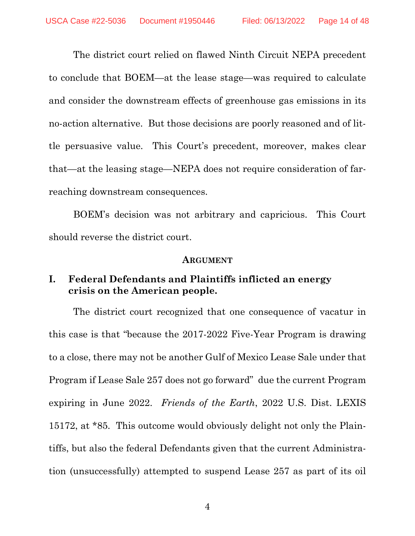The district court relied on flawed Ninth Circuit NEPA precedent to conclude that BOEM—at the lease stage—was required to calculate and consider the downstream effects of greenhouse gas emissions in its no-action alternative. But those decisions are poorly reasoned and of little persuasive value. This Court's precedent, moreover, makes clear that—at the leasing stage—NEPA does not require consideration of farreaching downstream consequences.

BOEM's decision was not arbitrary and capricious. This Court should reverse the district court.

#### **ARGUMENT**

### **I. Federal Defendants and Plaintiffs inflicted an energy crisis on the American people.**

The district court recognized that one consequence of vacatur in this case is that "because the 2017-2022 Five-Year Program is drawing to a close, there may not be another Gulf of Mexico Lease Sale under that Program if Lease Sale 257 does not go forward" due the current Program expiring in June 2022. *Friends of the Earth*, 2022 U.S. Dist. LEXIS 15172, at \*85. This outcome would obviously delight not only the Plaintiffs, but also the federal Defendants given that the current Administration (unsuccessfully) attempted to suspend Lease 257 as part of its oil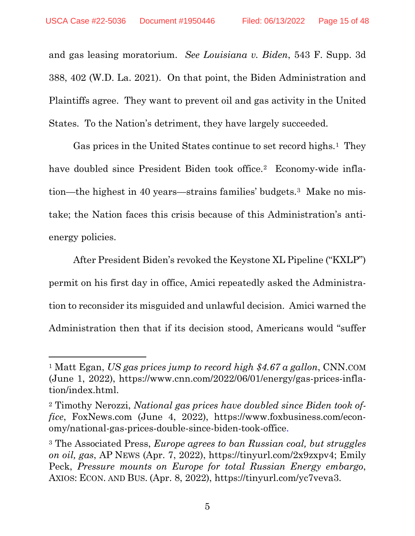and gas leasing moratorium. *See Louisiana v. Biden*, 543 F. Supp. 3d 388, 402 (W.D. La. 2021). On that point, the Biden Administration and Plaintiffs agree. They want to prevent oil and gas activity in the United States. To the Nation's detriment, they have largely succeeded.

Gas prices in the United States continue to set record highs.<sup>1</sup> They have doubled since President Biden took office.<sup>2</sup> Economy-wide inflation—the highest in 40 years—strains families' budgets.3 Make no mistake; the Nation faces this crisis because of this Administration's antienergy policies.

After President Biden's revoked the Keystone XL Pipeline ("KXLP") permit on his first day in office, Amici repeatedly asked the Administration to reconsider its misguided and unlawful decision. Amici warned the Administration then that if its decision stood, Americans would "suffer

<sup>1</sup> Matt Egan, *US gas prices jump to record high \$4.67 a gallon*, CNN.COM (June 1, 2022), https://www.cnn.com/2022/06/01/energy/gas-prices-inflation/index.html.

<sup>2</sup> Timothy Nerozzi, *National gas prices have doubled since Biden took office*, FoxNews.com (June 4, 2022), https://www.foxbusiness.com/economy/national-gas-prices-double-since-biden-took-office.

<sup>3</sup> The Associated Press, *Europe agrees to ban Russian coal, but struggles on oil, gas*, AP NEWS (Apr. 7, 2022), https://tinyurl.com/2x9zxpv4; Emily Peck, *Pressure mounts on Europe for total Russian Energy embargo*, AXIOS: ECON. AND BUS. (Apr. 8, 2022), https://tinyurl.com/yc7veva3.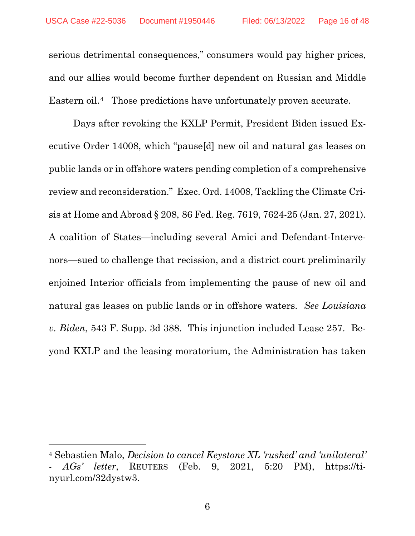serious detrimental consequences," consumers would pay higher prices, and our allies would become further dependent on Russian and Middle Eastern oil.<sup>4</sup> Those predictions have unfortunately proven accurate.

Days after revoking the KXLP Permit, President Biden issued Executive Order 14008, which "pause[d] new oil and natural gas leases on public lands or in offshore waters pending completion of a comprehensive review and reconsideration." Exec. Ord. 14008, Tackling the Climate Crisis at Home and Abroad § 208, 86 Fed. Reg. 7619, 7624-25 (Jan. 27, 2021). A coalition of States—including several Amici and Defendant-Intervenors—sued to challenge that recission, and a district court preliminarily enjoined Interior officials from implementing the pause of new oil and natural gas leases on public lands or in offshore waters. *See Louisiana v. Biden*, 543 F. Supp. 3d 388. This injunction included Lease 257. Beyond KXLP and the leasing moratorium, the Administration has taken

<sup>4</sup> Sebastien Malo, *Decision to cancel Keystone XL 'rushed' and 'unilateral' - AGs' letter*, REUTERS (Feb. 9, 2021, 5:20 PM), https://tinyurl.com/32dystw3.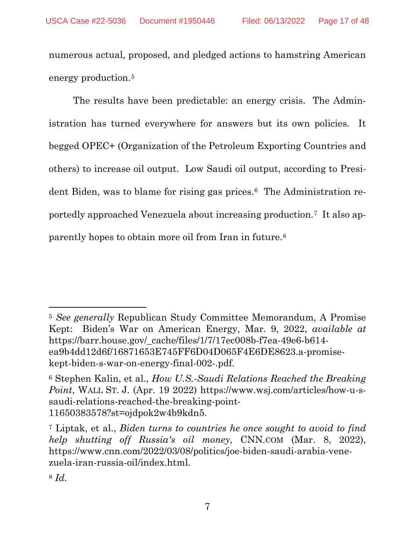numerous actual, proposed, and pledged actions to hamstring American energy production.5

The results have been predictable: an energy crisis. The Administration has turned everywhere for answers but its own policies. It begged OPEC+ (Organization of the Petroleum Exporting Countries and others) to increase oil output. Low Saudi oil output, according to President Biden, was to blame for rising gas prices.6 The Administration reportedly approached Venezuela about increasing production.7 It also apparently hopes to obtain more oil from Iran in future.8

<sup>5</sup> *See generally* Republican Study Committee Memorandum, A Promise Kept: Biden's War on American Energy, Mar. 9, 2022, *available at*  https://barr.house.gov/\_cache/files/1/7/17ec008b-f7ea-49e6-b614 ea9b4dd12d6f/16871653E745FF6D04D065F4E6DE8623.a-promisekept-biden-s-war-on-energy-final-002-.pdf.

<sup>6</sup> Stephen Kalin, et al., *How U.S.-Saudi Relations Reached the Breaking Point*, WALL ST. J. (Apr. 19 2022) https://www.wsj.com/articles/how-u-ssaudi-relations-reached-the-breaking-point-11650383578?st=ojdpok2w4b9kdn5.

<sup>7</sup> Liptak, et al., *Biden turns to countries he once sought to avoid to find help shutting off Russia's oil money*, CNN.COM (Mar. 8, 2022), https://www.cnn.com/2022/03/08/politics/joe-biden-saudi-arabia-venezuela-iran-russia-oil/index.html.

<sup>8</sup> *Id.*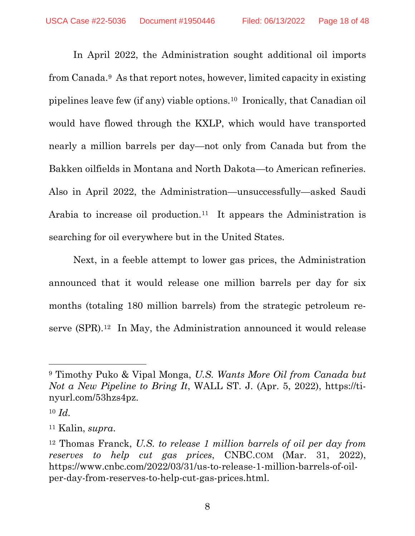In April 2022, the Administration sought additional oil imports from Canada.9 As that report notes, however, limited capacity in existing pipelines leave few (if any) viable options.10 Ironically, that Canadian oil would have flowed through the KXLP, which would have transported nearly a million barrels per day—not only from Canada but from the Bakken oilfields in Montana and North Dakota—to American refineries. Also in April 2022, the Administration—unsuccessfully—asked Saudi Arabia to increase oil production.<sup>11</sup> It appears the Administration is searching for oil everywhere but in the United States.

Next, in a feeble attempt to lower gas prices, the Administration announced that it would release one million barrels per day for six months (totaling 180 million barrels) from the strategic petroleum reserve (SPR).12 In May, the Administration announced it would release

<sup>9</sup> Timothy Puko & Vipal Monga, *U.S. Wants More Oil from Canada but Not a New Pipeline to Bring It*, WALL ST. J. (Apr. 5, 2022), https://tinyurl.com/53hzs4pz.

<sup>10</sup> *Id.*

<sup>11</sup> Kalin, *supra*.

<sup>12</sup> Thomas Franck, *U.S. to release 1 million barrels of oil per day from reserves to help cut gas prices*, CNBC.COM (Mar. 31, 2022), https://www.cnbc.com/2022/03/31/us-to-release-1-million-barrels-of-oilper-day-from-reserves-to-help-cut-gas-prices.html.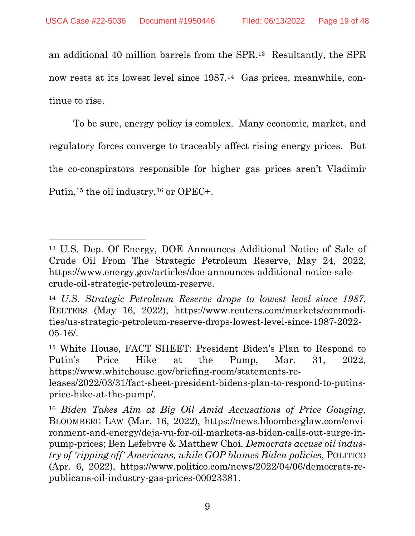an additional 40 million barrels from the SPR.13 Resultantly, the SPR now rests at its lowest level since 1987.14 Gas prices, meanwhile, continue to rise.

To be sure, energy policy is complex. Many economic, market, and regulatory forces converge to traceably affect rising energy prices. But the co-conspirators responsible for higher gas prices aren't Vladimir Putin,<sup>15</sup> the oil industry,<sup>16</sup> or OPEC+.

<sup>13</sup> U.S. Dep. Of Energy, DOE Announces Additional Notice of Sale of Crude Oil From The Strategic Petroleum Reserve, May 24, 2022, https://www.energy.gov/articles/doe-announces-additional-notice-salecrude-oil-strategic-petroleum-reserve.

<sup>14</sup> *U.S. Strategic Petroleum Reserve drops to lowest level since 1987*, REUTERS (May 16, 2022), https://www.reuters.com/markets/commodities/us-strategic-petroleum-reserve-drops-lowest-level-since-1987-2022- 05-16/.

<sup>15</sup> White House, FACT SHEET: President Biden's Plan to Respond to Putin's Price Hike at the Pump, Mar. 31, 2022, https://www.whitehouse.gov/briefing-room/statements-re-

leases/2022/03/31/fact-sheet-president-bidens-plan-to-respond-to-putinsprice-hike-at-the-pump/.

<sup>16</sup> *Biden Takes Aim at Big Oil Amid Accusations of Price Gouging*, BLOOMBERG LAW (Mar. 16, 2022), https://news.bloomberglaw.com/environment-and-energy/deja-vu-for-oil-markets-as-biden-calls-out-surge-inpump-prices; Ben Lefebvre & Matthew Choi, *Democrats accuse oil industry of 'ripping off' Americans, while GOP blames Biden policies*, POLITICO (Apr. 6, 2022), https://www.politico.com/news/2022/04/06/democrats-republicans-oil-industry-gas-prices-00023381.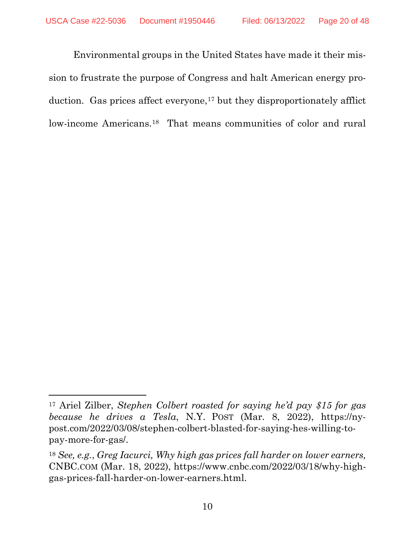Environmental groups in the United States have made it their mission to frustrate the purpose of Congress and halt American energy production. Gas prices affect everyone, $17$  but they disproportionately afflict low-income Americans.18 That means communities of color and rural

<sup>17</sup> Ariel Zilber, *Stephen Colbert roasted for saying he'd pay \$15 for gas because he drives a Tesla*, N.Y. POST (Mar. 8, 2022), https://nypost.com/2022/03/08/stephen-colbert-blasted-for-saying-hes-willing-topay-more-for-gas/.

<sup>18</sup> *See, e.g.*, *Greg Iacurci, Why high gas prices fall harder on lower earners,* CNBC.COM (Mar. 18, 2022), https://www.cnbc.com/2022/03/18/why-highgas-prices-fall-harder-on-lower-earners.html.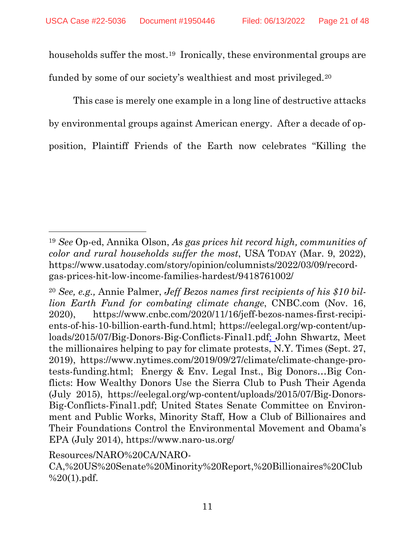households suffer the most.<sup>19</sup> Ironically, these environmental groups are funded by some of our society's wealthiest and most privileged.20

This case is merely one example in a long line of destructive attacks by environmental groups against American energy. After a decade of opposition, Plaintiff Friends of the Earth now celebrates "Killing the

<sup>19</sup> *See* Op-ed, Annika Olson, *As gas prices hit record high, communities of color and rural households suffer the most*, USA TODAY (Mar. 9, 2022), https://www.usatoday.com/story/opinion/columnists/2022/03/09/recordgas-prices-hit-low-income-families-hardest/9418761002/

<sup>20</sup> *See, e.g.,* Annie Palmer, *Jeff Bezos names first recipients of his \$10 billion Earth Fund for combating climate change*, CNBC.com (Nov. 16, 2020), https://www.cnbc.com/2020/11/16/jeff-bezos-names-first-recipients-of-his-10-billion-earth-fund.html; https://eelegal.org/wp-content/uploads/2015/07/Big-Donors-Big-Conflicts-Final1.pdf; John Shwartz, Meet the millionaires helping to pay for climate protests, N.Y. Times (Sept. 27, 2019), https://www.nytimes.com/2019/09/27/climate/climate-change-protests-funding.html; Energy & Env. Legal Inst., Big Donors…Big Conflicts: How Wealthy Donors Use the Sierra Club to Push Their Agenda (July 2015), https://eelegal.org/wp-content/uploads/2015/07/Big-Donors-Big-Conflicts-Final1.pdf; United States Senate Committee on Environment and Public Works, Minority Staff, How a Club of Billionaires and Their Foundations Control the Environmental Movement and Obama's EPA (July 2014), https://www.naro-us.org/

Resources/NARO%20CA/NARO-

CA,%20US%20Senate%20Minority%20Report,%20Billionaires%20Club  $%20(1).pdf.$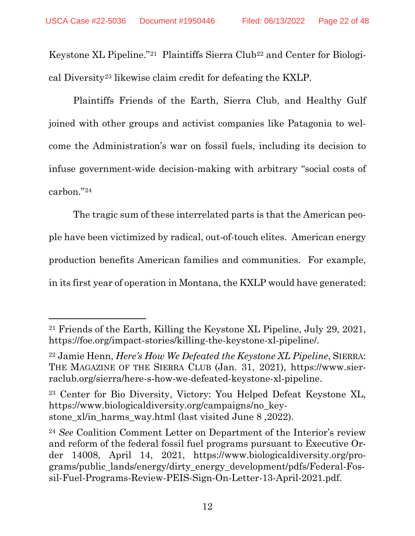Keystone XL Pipeline."21 Plaintiffs Sierra Club22 and Center for Biological Diversity23 likewise claim credit for defeating the KXLP.

Plaintiffs Friends of the Earth, Sierra Club, and Healthy Gulf joined with other groups and activist companies like Patagonia to welcome the Administration's war on fossil fuels, including its decision to infuse government-wide decision-making with arbitrary "social costs of carbon."24

The tragic sum of these interrelated parts is that the American people have been victimized by radical, out-of-touch elites. American energy production benefits American families and communities. For example, in its first year of operation in Montana, the KXLP would have generated:

<sup>21</sup> Friends of the Earth, Killing the Keystone XL Pipeline, July 29, 2021, https://foe.org/impact-stories/killing-the-keystone-xl-pipeline/.

<sup>22</sup> Jamie Henn, *Here's How We Defeated the Keystone XL Pipeline*, SIERRA: THE MAGAZINE OF THE SIERRA CLUB (Jan. 31, 2021), https://www.sierraclub.org/sierra/here-s-how-we-defeated-keystone-xl-pipeline.

<sup>23</sup> Center for Bio Diversity, Victory: You Helped Defeat Keystone XL, https://www.biologicaldiversity.org/campaigns/no\_keystone\_xl/in\_harms\_way.html (last visited June 8,2022).

<sup>24</sup> *See* Coalition Comment Letter on Department of the Interior's review and reform of the federal fossil fuel programs pursuant to Executive Order 14008, April 14, 2021, https://www.biologicaldiversity.org/programs/public\_lands/energy/dirty\_energy\_development/pdfs/Federal-Fossil-Fuel-Programs-Review-PEIS-Sign-On-Letter-13-April-2021.pdf.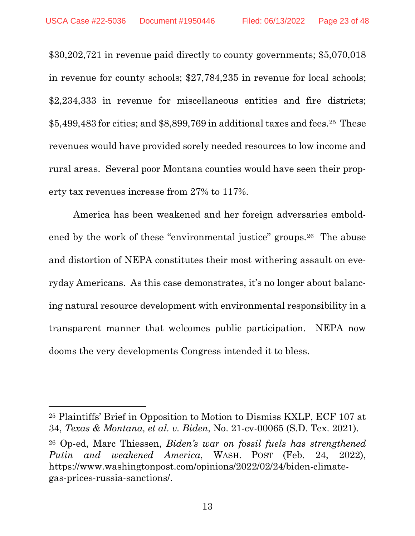\$30,202,721 in revenue paid directly to county governments; \$5,070,018 in revenue for county schools; \$27,784,235 in revenue for local schools; \$2,234,333 in revenue for miscellaneous entities and fire districts;  $$5,499,483$  for cities; and  $$8,899,769$  in additional taxes and fees.<sup>25</sup> These revenues would have provided sorely needed resources to low income and rural areas. Several poor Montana counties would have seen their property tax revenues increase from 27% to 117%.

America has been weakened and her foreign adversaries emboldened by the work of these "environmental justice" groups.26 The abuse and distortion of NEPA constitutes their most withering assault on everyday Americans. As this case demonstrates, it's no longer about balancing natural resource development with environmental responsibility in a transparent manner that welcomes public participation. NEPA now dooms the very developments Congress intended it to bless.

<sup>25</sup> Plaintiffs' Brief in Opposition to Motion to Dismiss KXLP, ECF 107 at 34, *Texas & Montana, et al. v. Biden*, No. 21-cv-00065 (S.D. Tex. 2021).

<sup>26</sup> Op-ed, Marc Thiessen, *Biden's war on fossil fuels has strengthened Putin and weakened America*, WASH. POST (Feb. 24, 2022), https://www.washingtonpost.com/opinions/2022/02/24/biden-climategas-prices-russia-sanctions/.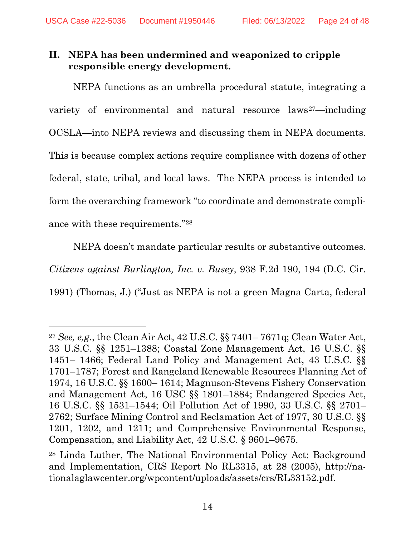# **II. NEPA has been undermined and weaponized to cripple responsible energy development.**

NEPA functions as an umbrella procedural statute, integrating a variety of environmental and natural resource laws<sup>27</sup>—including OCSLA—into NEPA reviews and discussing them in NEPA documents. This is because complex actions require compliance with dozens of other federal, state, tribal, and local laws. The NEPA process is intended to form the overarching framework "to coordinate and demonstrate compliance with these requirements."28

NEPA doesn't mandate particular results or substantive outcomes. *Citizens against Burlington, Inc. v. Busey*, 938 F.2d 190, 194 (D.C. Cir. 1991) (Thomas, J.) ("Just as NEPA is not a green Magna Carta, federal

<sup>27</sup> *See, e,g*., the Clean Air Act, 42 U.S.C. §§ 7401– 7671q; Clean Water Act, 33 U.S.C. §§ 1251–1388; Coastal Zone Management Act, 16 U.S.C. §§ 1451– 1466; Federal Land Policy and Management Act, 43 U.S.C. §§ 1701–1787; Forest and Rangeland Renewable Resources Planning Act of 1974, 16 U.S.C. §§ 1600– 1614; Magnuson-Stevens Fishery Conservation and Management Act, 16 USC §§ 1801–1884; Endangered Species Act, 16 U.S.C. §§ 1531–1544; Oil Pollution Act of 1990, 33 U.S.C. §§ 2701– 2762; Surface Mining Control and Reclamation Act of 1977, 30 U.S.C. §§ 1201, 1202, and 1211; and Comprehensive Environmental Response, Compensation, and Liability Act, 42 U.S.C. § 9601–9675.

<sup>28</sup> Linda Luther, The National Environmental Policy Act: Background and Implementation, CRS Report No RL3315, at 28 (2005), http://nationalaglawcenter.org/wpcontent/uploads/assets/crs/RL33152.pdf.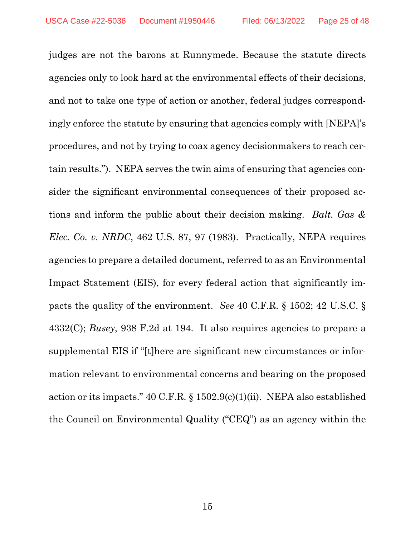judges are not the barons at Runnymede. Because the statute directs agencies only to look hard at the environmental effects of their decisions, and not to take one type of action or another, federal judges correspondingly enforce the statute by ensuring that agencies comply with [NEPA]'s procedures, and not by trying to coax agency decisionmakers to reach certain results."). NEPA serves the twin aims of ensuring that agencies consider the significant environmental consequences of their proposed actions and inform the public about their decision making. *Balt. Gas & Elec. Co. v. NRDC*, 462 U.S. 87, 97 (1983). Practically, NEPA requires agencies to prepare a detailed document, referred to as an Environmental Impact Statement (EIS), for every federal action that significantly impacts the quality of the environment. *See* 40 C.F.R. § 1502; 42 U.S.C. § 4332(C); *Busey*, 938 F.2d at 194. It also requires agencies to prepare a supplemental EIS if "[t]here are significant new circumstances or information relevant to environmental concerns and bearing on the proposed action or its impacts." 40 C.F.R. § 1502.9(c)(1)(ii). NEPA also established the Council on Environmental Quality ("CEQ") as an agency within the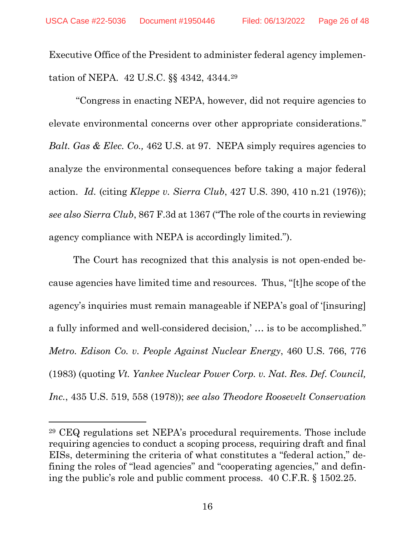Executive Office of the President to administer federal agency implementation of NEPA. 42 U.S.C. §§ 4342, 4344.29

''Congress in enacting NEPA, however, did not require agencies to elevate environmental concerns over other appropriate considerations." *Balt. Gas & Elec. Co., 462 U.S. at 97.* NEPA simply requires agencies to analyze the environmental consequences before taking a major federal action. *Id.* (citing *Kleppe v. Sierra Club*, 427 U.S. 390, 410 n.21 (1976)); *see also Sierra Club*, 867 F.3d at 1367 ("The role of the courts in reviewing agency compliance with NEPA is accordingly limited.").

The Court has recognized that this analysis is not open-ended because agencies have limited time and resources. Thus, ''[t]he scope of the agency's inquiries must remain manageable if NEPA's goal of '[insuring] a fully informed and well-considered decision,' … is to be accomplished.'' *Metro. Edison Co. v. People Against Nuclear Energy*, 460 U.S. 766, 776 (1983) (quoting *Vt. Yankee Nuclear Power Corp. v. Nat. Res. Def. Council, Inc.*, 435 U.S. 519, 558 (1978)); *see also Theodore Roosevelt Conservation* 

<sup>29</sup> CEQ regulations set NEPA's procedural requirements. Those include requiring agencies to conduct a scoping process, requiring draft and final EISs, determining the criteria of what constitutes a "federal action," defining the roles of "lead agencies" and "cooperating agencies," and defining the public's role and public comment process. 40 C.F.R. § 1502.25.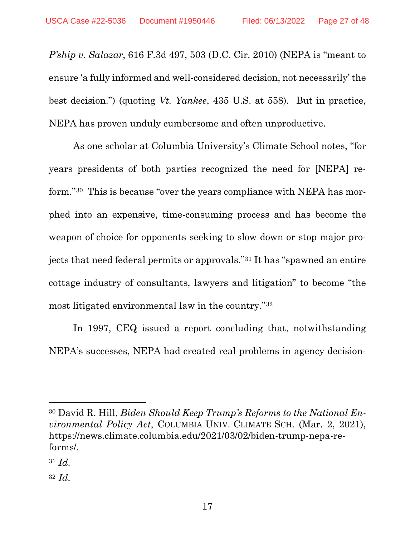*P'ship v. Salazar*, 616 F.3d 497, 503 (D.C. Cir. 2010) (NEPA is "meant to ensure 'a fully informed and well-considered decision, not necessarily' the best decision.") (quoting *Vt. Yankee*, 435 U.S. at 558). But in practice, NEPA has proven unduly cumbersome and often unproductive.

As one scholar at Columbia University's Climate School notes, "for years presidents of both parties recognized the need for [NEPA] reform."30 This is because "over the years compliance with NEPA has morphed into an expensive, time-consuming process and has become the weapon of choice for opponents seeking to slow down or stop major projects that need federal permits or approvals."31 It has "spawned an entire cottage industry of consultants, lawyers and litigation" to become "the most litigated environmental law in the country."32

In 1997, CEQ issued a report concluding that, notwithstanding NEPA's successes, NEPA had created real problems in agency decision-

<sup>30</sup> David R. Hill, *Biden Should Keep Trump's Reforms to the National Environmental Policy Act*, COLUMBIA UNIV. CLIMATE SCH. (Mar. 2, 2021), https://news.climate.columbia.edu/2021/03/02/biden-trump-nepa-reforms/.

<sup>31</sup> *Id.*

<sup>32</sup> *Id.*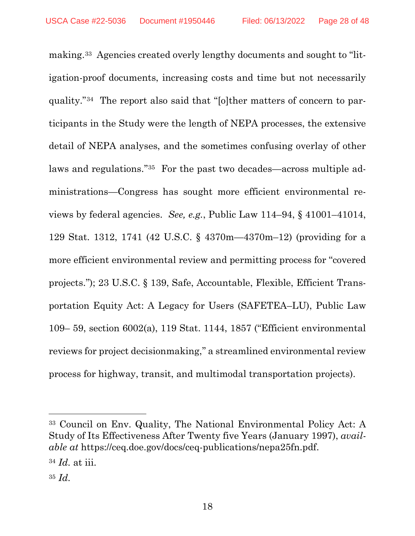making.<sup>33</sup> Agencies created overly lengthy documents and sought to "litigation-proof documents, increasing costs and time but not necessarily quality."34 The report also said that ''[o]ther matters of concern to participants in the Study were the length of NEPA processes, the extensive detail of NEPA analyses, and the sometimes confusing overlay of other laws and regulations."<sup>35</sup> For the past two decades—across multiple administrations—Congress has sought more efficient environmental reviews by federal agencies. *See, e.g.*, Public Law 114–94, § 41001–41014, 129 Stat. 1312, 1741 (42 U.S.C. § 4370m—4370m–12) (providing for a more efficient environmental review and permitting process for ''covered projects.''); 23 U.S.C. § 139, Safe, Accountable, Flexible, Efficient Transportation Equity Act: A Legacy for Users (SAFETEA–LU), Public Law 109– 59, section 6002(a), 119 Stat. 1144, 1857 ("Efficient environmental reviews for project decisionmaking,'' a streamlined environmental review process for highway, transit, and multimodal transportation projects).

<sup>33</sup> Council on Env. Quality, The National Environmental Policy Act: A Study of Its Effectiveness After Twenty five Years (January 1997), *available at* https://ceq.doe.gov/docs/ceq-publications/nepa25fn.pdf.

<sup>34</sup> *Id.* at iii.

<sup>35</sup> *Id.*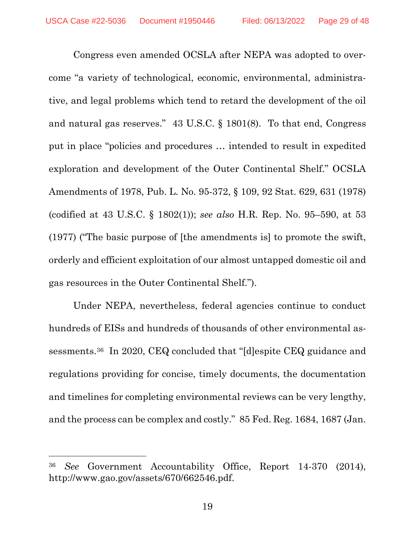Congress even amended OCSLA after NEPA was adopted to overcome "a variety of technological, economic, environmental, administrative, and legal problems which tend to retard the development of the oil and natural gas reserves." 43 U.S.C. § 1801(8). To that end, Congress put in place "policies and procedures … intended to result in expedited exploration and development of the Outer Continental Shelf." OCSLA Amendments of 1978, Pub. L. No. 95-372, § 109, 92 Stat. 629, 631 (1978) (codified at 43 U.S.C. § 1802(1)); *see also* H.R. Rep. No. 95–590, at 53 (1977) ("The basic purpose of [the amendments is] to promote the swift, orderly and efficient exploitation of our almost untapped domestic oil and gas resources in the Outer Continental Shelf.").

Under NEPA, nevertheless, federal agencies continue to conduct hundreds of EISs and hundreds of thousands of other environmental assessments.36 In 2020, CEQ concluded that "[d]espite CEQ guidance and regulations providing for concise, timely documents, the documentation and timelines for completing environmental reviews can be very lengthy, and the process can be complex and costly." 85 Fed. Reg. 1684, 1687 (Jan.

<sup>36</sup> *See* Government Accountability Office, Report 14-370 (2014), http://www.gao.gov/assets/670/662546.pdf.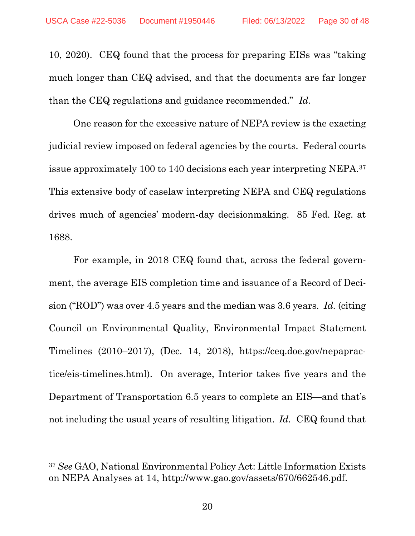10, 2020). CEQ found that the process for preparing EISs was "taking much longer than CEQ advised, and that the documents are far longer than the CEQ regulations and guidance recommended." *Id.*

One reason for the excessive nature of NEPA review is the exacting judicial review imposed on federal agencies by the courts. Federal courts issue approximately 100 to 140 decisions each year interpreting NEPA.37 This extensive body of caselaw interpreting NEPA and CEQ regulations drives much of agencies' modern-day decisionmaking. 85 Fed. Reg. at 1688.

For example, in 2018 CEQ found that, across the federal government, the average EIS completion time and issuance of a Record of Decision ("ROD") was over 4.5 years and the median was 3.6 years. *Id.* (citing Council on Environmental Quality, Environmental Impact Statement Timelines (2010–2017), (Dec. 14, 2018), https://ceq.doe.gov/nepapractice/eis-timelines.html). On average, Interior takes five years and the Department of Transportation 6.5 years to complete an EIS—and that's not including the usual years of resulting litigation. *Id.* CEQ found that

<sup>37</sup> *See* GAO, National Environmental Policy Act: Little Information Exists on NEPA Analyses at 14, http://www.gao.gov/assets/670/662546.pdf.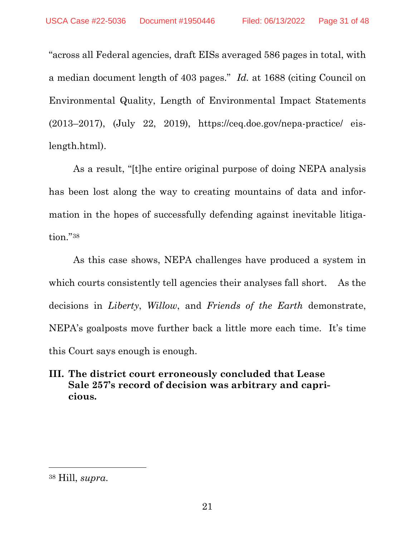"across all Federal agencies, draft EISs averaged 586 pages in total, with a median document length of 403 pages." *Id.* at 1688 (citing Council on Environmental Quality, Length of Environmental Impact Statements (2013–2017), (July 22, 2019), https://ceq.doe.gov/nepa-practice/ eislength.html).

As a result, "[t]he entire original purpose of doing NEPA analysis has been lost along the way to creating mountains of data and information in the hopes of successfully defending against inevitable litigation."38

As this case shows, NEPA challenges have produced a system in which courts consistently tell agencies their analyses fall short. As the decisions in *Liberty*, *Willow*, and *Friends of the Earth* demonstrate, NEPA's goalposts move further back a little more each time. It's time this Court says enough is enough.

# **III. The district court erroneously concluded that Lease Sale 257's record of decision was arbitrary and capricious.**

<sup>38</sup> Hill, *supra*.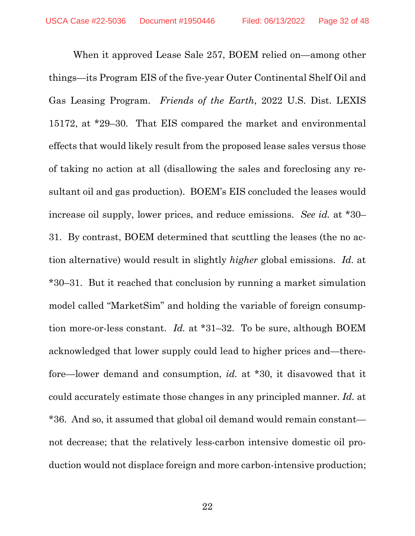When it approved Lease Sale 257, BOEM relied on—among other things—its Program EIS of the five-year Outer Continental Shelf Oil and Gas Leasing Program. *Friends of the Earth*, 2022 U.S. Dist. LEXIS 15172, at \*29–30. That EIS compared the market and environmental effects that would likely result from the proposed lease sales versus those of taking no action at all (disallowing the sales and foreclosing any resultant oil and gas production). BOEM's EIS concluded the leases would increase oil supply, lower prices, and reduce emissions. *See id.* at \*30– 31. By contrast, BOEM determined that scuttling the leases (the no action alternative) would result in slightly *higher* global emissions. *Id.* at \*30–31. But it reached that conclusion by running a market simulation model called "MarketSim" and holding the variable of foreign consumption more-or-less constant. *Id.* at \*31–32. To be sure, although BOEM acknowledged that lower supply could lead to higher prices and—therefore—lower demand and consumption, *id.* at \*30, it disavowed that it could accurately estimate those changes in any principled manner. *Id.* at \*36. And so, it assumed that global oil demand would remain constant not decrease; that the relatively less-carbon intensive domestic oil production would not displace foreign and more carbon-intensive production;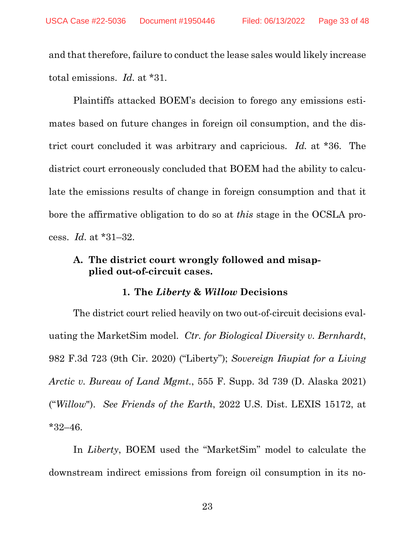and that therefore, failure to conduct the lease sales would likely increase total emissions. *Id.* at \*31.

Plaintiffs attacked BOEM's decision to forego any emissions estimates based on future changes in foreign oil consumption, and the district court concluded it was arbitrary and capricious. *Id.* at \*36. The district court erroneously concluded that BOEM had the ability to calculate the emissions results of change in foreign consumption and that it bore the affirmative obligation to do so at *this* stage in the OCSLA process. *Id.* at \*31–32.

### **A. The district court wrongly followed and misapplied out-of-circuit cases.**

#### **1. The** *Liberty* **&** *Willow* **Decisions**

The district court relied heavily on two out-of-circuit decisions evaluating the MarketSim model. *Ctr. for Biological Diversity v. Bernhardt*, 982 F.3d 723 (9th Cir. 2020) ("Liberty"); *Sovereign Iñupiat for a Living Arctic v. Bureau of Land Mgmt.*, 555 F. Supp. 3d 739 (D. Alaska 2021) ("*Willow*"). *See Friends of the Earth*, 2022 U.S. Dist. LEXIS 15172, at \*32–46.

In *Liberty*, BOEM used the "MarketSim" model to calculate the downstream indirect emissions from foreign oil consumption in its no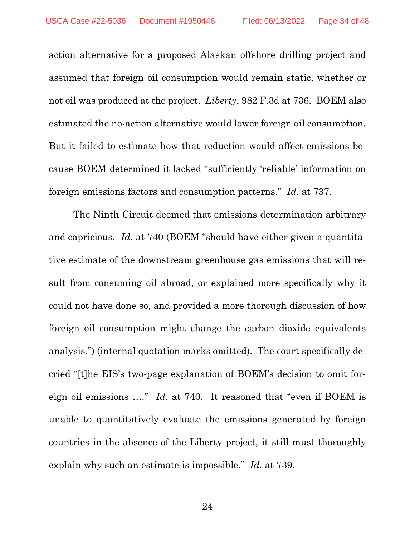action alternative for a proposed Alaskan offshore drilling project and assumed that foreign oil consumption would remain static, whether or not oil was produced at the project. *Liberty*, 982 F.3d at 736. BOEM also estimated the no-action alternative would lower foreign oil consumption. But it failed to estimate how that reduction would affect emissions because BOEM determined it lacked "sufficiently 'reliable' information on foreign emissions factors and consumption patterns." *Id.* at 737.

The Ninth Circuit deemed that emissions determination arbitrary and capricious. *Id.* at 740 (BOEM "should have either given a quantitative estimate of the downstream greenhouse gas emissions that will result from consuming oil abroad, or explained more specifically why it could not have done so, and provided a more thorough discussion of how foreign oil consumption might change the carbon dioxide equivalents analysis.") (internal quotation marks omitted). The court specifically decried "[t]he EIS's two-page explanation of BOEM's decision to omit foreign oil emissions …." *Id.* at 740. It reasoned that "even if BOEM is unable to quantitatively evaluate the emissions generated by foreign countries in the absence of the Liberty project, it still must thoroughly explain why such an estimate is impossible." *Id.* at 739.

24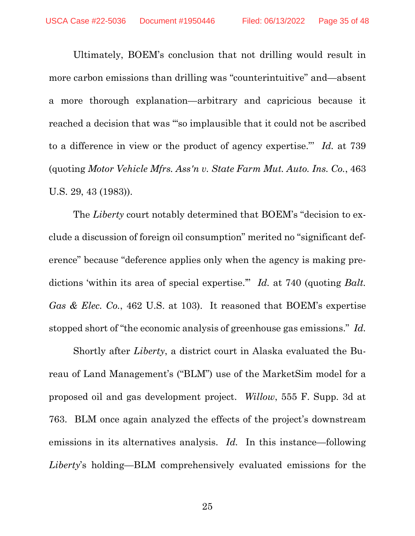Ultimately, BOEM's conclusion that not drilling would result in more carbon emissions than drilling was "counterintuitive" and—absent a more thorough explanation—arbitrary and capricious because it reached a decision that was '"so implausible that it could not be ascribed to a difference in view or the product of agency expertise."' *Id.* at 739 (quoting *Motor Vehicle Mfrs. Ass'n v. State Farm Mut. Auto. Ins. Co.*, 463 U.S. 29, 43 (1983)).

The *Liberty* court notably determined that BOEM's "decision to exclude a discussion of foreign oil consumption" merited no "significant deference" because "deference applies only when the agency is making predictions 'within its area of special expertise.'" *Id.* at 740 (quoting *Balt. Gas & Elec. Co.*, 462 U.S. at 103). It reasoned that BOEM's expertise stopped short of "the economic analysis of greenhouse gas emissions." *Id.*

Shortly after *Liberty*, a district court in Alaska evaluated the Bureau of Land Management's ("BLM") use of the MarketSim model for a proposed oil and gas development project. *Willow*, 555 F. Supp. 3d at 763. BLM once again analyzed the effects of the project's downstream emissions in its alternatives analysis. *Id.* In this instance—following *Liberty*'s holding—BLM comprehensively evaluated emissions for the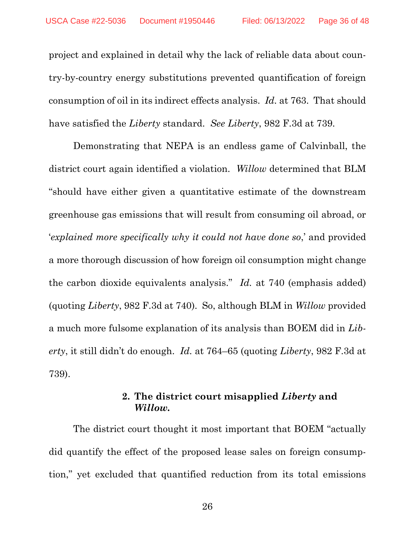project and explained in detail why the lack of reliable data about country-by-country energy substitutions prevented quantification of foreign consumption of oil in its indirect effects analysis. *Id.* at 763. That should have satisfied the *Liberty* standard. *See Liberty*, 982 F.3d at 739.

Demonstrating that NEPA is an endless game of Calvinball, the district court again identified a violation. *Willow* determined that BLM "should have either given a quantitative estimate of the downstream greenhouse gas emissions that will result from consuming oil abroad, or '*explained more specifically why it could not have done so*,' and provided a more thorough discussion of how foreign oil consumption might change the carbon dioxide equivalents analysis." *Id.* at 740 (emphasis added) (quoting *Liberty*, 982 F.3d at 740). So, although BLM in *Willow* provided a much more fulsome explanation of its analysis than BOEM did in *Liberty*, it still didn't do enough. *Id.* at 764–65 (quoting *Liberty*, 982 F.3d at 739).

#### **2. The district court misapplied** *Liberty* **and**  *Willow.*

The district court thought it most important that BOEM "actually did quantify the effect of the proposed lease sales on foreign consumption," yet excluded that quantified reduction from its total emissions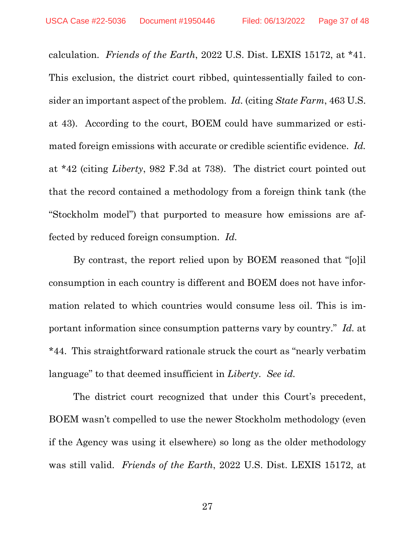calculation. *Friends of the Earth*, 2022 U.S. Dist. LEXIS 15172, at \*41. This exclusion, the district court ribbed, quintessentially failed to consider an important aspect of the problem. *Id.* (citing *State Farm*, 463 U.S. at 43). According to the court, BOEM could have summarized or estimated foreign emissions with accurate or credible scientific evidence. *Id.* at \*42 (citing *Liberty*, 982 F.3d at 738). The district court pointed out that the record contained a methodology from a foreign think tank (the "Stockholm model") that purported to measure how emissions are affected by reduced foreign consumption. *Id.* 

By contrast, the report relied upon by BOEM reasoned that "[o]il consumption in each country is different and BOEM does not have information related to which countries would consume less oil. This is important information since consumption patterns vary by country." *Id.* at \*44. This straightforward rationale struck the court as "nearly verbatim language" to that deemed insufficient in *Liberty*. *See id.*

The district court recognized that under this Court's precedent, BOEM wasn't compelled to use the newer Stockholm methodology (even if the Agency was using it elsewhere) so long as the older methodology was still valid. *Friends of the Earth*, 2022 U.S. Dist. LEXIS 15172, at

27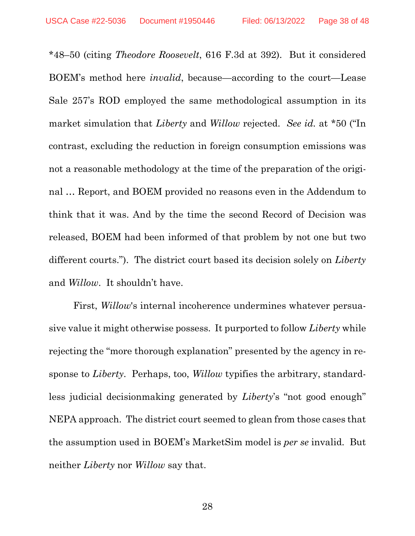\*48–50 (citing *Theodore Roosevelt*, 616 F.3d at 392). But it considered BOEM's method here *invalid*, because—according to the court—Lease Sale 257's ROD employed the same methodological assumption in its market simulation that *Liberty* and *Willow* rejected. *See id.* at \*50 ("In contrast, excluding the reduction in foreign consumption emissions was not a reasonable methodology at the time of the preparation of the original … Report, and BOEM provided no reasons even in the Addendum to think that it was. And by the time the second Record of Decision was released, BOEM had been informed of that problem by not one but two different courts."). The district court based its decision solely on *Liberty* and *Willow*. It shouldn't have.

First, *Willow*'s internal incoherence undermines whatever persuasive value it might otherwise possess. It purported to follow *Liberty* while rejecting the "more thorough explanation" presented by the agency in response to *Liberty*. Perhaps, too, *Willow* typifies the arbitrary, standardless judicial decisionmaking generated by *Liberty*'s "not good enough" NEPA approach. The district court seemed to glean from those cases that the assumption used in BOEM's MarketSim model is *per se* invalid. But neither *Liberty* nor *Willow* say that.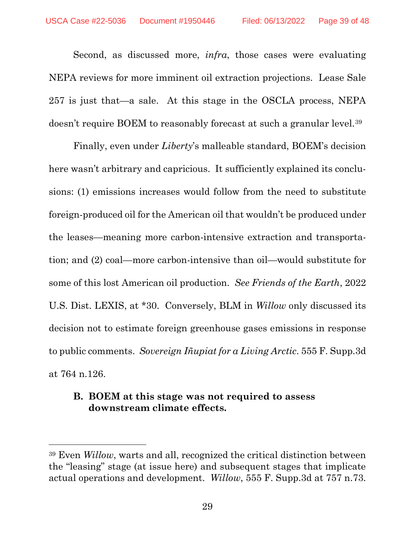Second, as discussed more, *infra*, those cases were evaluating NEPA reviews for more imminent oil extraction projections. Lease Sale 257 is just that—a sale. At this stage in the OSCLA process, NEPA doesn't require BOEM to reasonably forecast at such a granular level.<sup>39</sup>

Finally, even under *Liberty*'s malleable standard, BOEM's decision here wasn't arbitrary and capricious. It sufficiently explained its conclusions: (1) emissions increases would follow from the need to substitute foreign-produced oil for the American oil that wouldn't be produced under the leases—meaning more carbon-intensive extraction and transportation; and (2) coal—more carbon-intensive than oil—would substitute for some of this lost American oil production. *See Friends of the Earth*, 2022 U.S. Dist. LEXIS, at \*30. Conversely, BLM in *Willow* only discussed its decision not to estimate foreign greenhouse gases emissions in response to public comments. *Sovereign Iñupiat for a Living Arctic*. 555 F. Supp.3d at 764 n.126.

### **B. BOEM at this stage was not required to assess downstream climate effects.**

<sup>39</sup> Even *Willow*, warts and all, recognized the critical distinction between the "leasing" stage (at issue here) and subsequent stages that implicate actual operations and development. *Willow*, 555 F. Supp.3d at 757 n.73.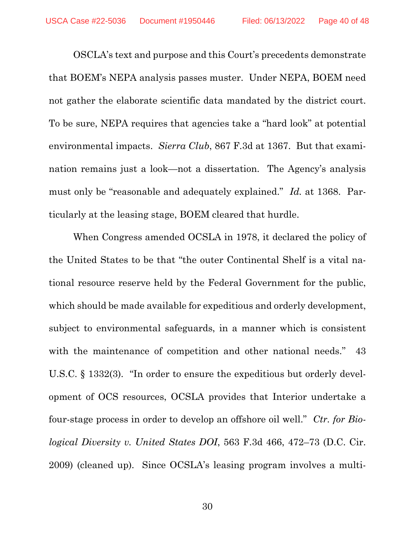OSCLA's text and purpose and this Court's precedents demonstrate that BOEM's NEPA analysis passes muster. Under NEPA, BOEM need not gather the elaborate scientific data mandated by the district court. To be sure, NEPA requires that agencies take a "hard look" at potential environmental impacts. *Sierra Club*, 867 F.3d at 1367. But that examination remains just a look—not a dissertation. The Agency's analysis must only be "reasonable and adequately explained." *Id.* at 1368. Particularly at the leasing stage, BOEM cleared that hurdle.

When Congress amended OCSLA in 1978, it declared the policy of the United States to be that "the outer Continental Shelf is a vital national resource reserve held by the Federal Government for the public, which should be made available for expeditious and orderly development, subject to environmental safeguards, in a manner which is consistent with the maintenance of competition and other national needs." 43 U.S.C. § 1332(3). "In order to ensure the expeditious but orderly development of OCS resources, OCSLA provides that Interior undertake a four-stage process in order to develop an offshore oil well." *Ctr. for Biological Diversity v. United States DOI*, 563 F.3d 466, 472–73 (D.C. Cir. 2009) (cleaned up). Since OCSLA's leasing program involves a multi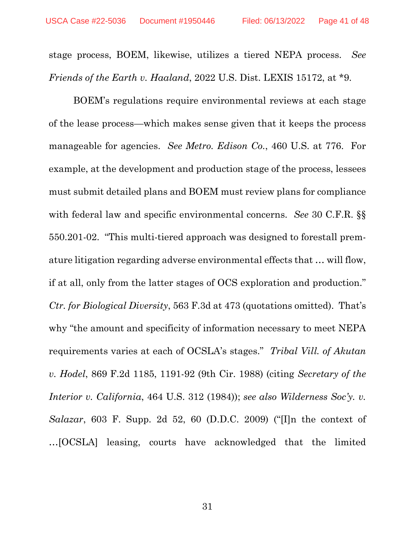stage process, BOEM, likewise, utilizes a tiered NEPA process. *See Friends of the Earth v. Haaland*, 2022 U.S. Dist. LEXIS 15172, at \*9.

BOEM's regulations require environmental reviews at each stage of the lease process—which makes sense given that it keeps the process manageable for agencies. *See Metro. Edison Co.*, 460 U.S. at 776. For example, at the development and production stage of the process, lessees must submit detailed plans and BOEM must review plans for compliance with federal law and specific environmental concerns. *See* 30 C.F.R. §§ 550.201-02. "This multi-tiered approach was designed to forestall premature litigation regarding adverse environmental effects that … will flow, if at all, only from the latter stages of OCS exploration and production." *Ctr. for Biological Diversity*, 563 F.3d at 473 (quotations omitted). That's why "the amount and specificity of information necessary to meet NEPA requirements varies at each of OCSLA's stages." *Tribal Vill. of Akutan v. Hodel*, 869 F.2d 1185, 1191-92 (9th Cir. 1988) (citing *Secretary of the Interior v. California*, 464 U.S. 312 (1984)); *see also Wilderness Soc'y. v. Salazar*, 603 F. Supp. 2d 52, 60 (D.D.C. 2009) ("[I]n the context of …[OCSLA] leasing, courts have acknowledged that the limited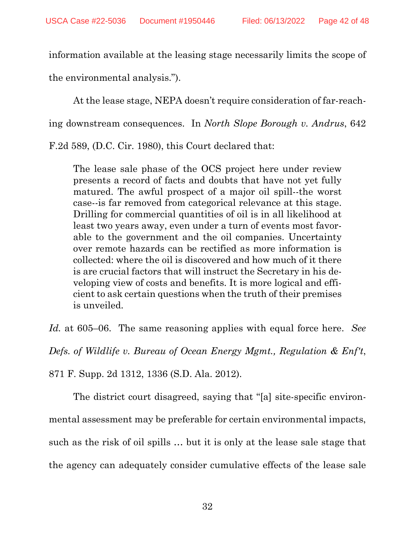information available at the leasing stage necessarily limits the scope of the environmental analysis.").

At the lease stage, NEPA doesn't require consideration of far-reach-

ing downstream consequences. In *North Slope Borough v. Andrus*, 642

F.2d 589, (D.C. Cir. 1980), this Court declared that:

The lease sale phase of the OCS project here under review presents a record of facts and doubts that have not yet fully matured. The awful prospect of a major oil spill--the worst case--is far removed from categorical relevance at this stage. Drilling for commercial quantities of oil is in all likelihood at least two years away, even under a turn of events most favorable to the government and the oil companies. Uncertainty over remote hazards can be rectified as more information is collected: where the oil is discovered and how much of it there is are crucial factors that will instruct the Secretary in his developing view of costs and benefits. It is more logical and efficient to ask certain questions when the truth of their premises is unveiled.

*Id.* at 605–06. The same reasoning applies with equal force here. *See Defs. of Wildlife v. Bureau of Ocean Energy Mgmt., Regulation & Enf't*, 871 F. Supp. 2d 1312, 1336 (S.D. Ala. 2012).

The district court disagreed, saying that "[a] site-specific environmental assessment may be preferable for certain environmental impacts, such as the risk of oil spills … but it is only at the lease sale stage that the agency can adequately consider cumulative effects of the lease sale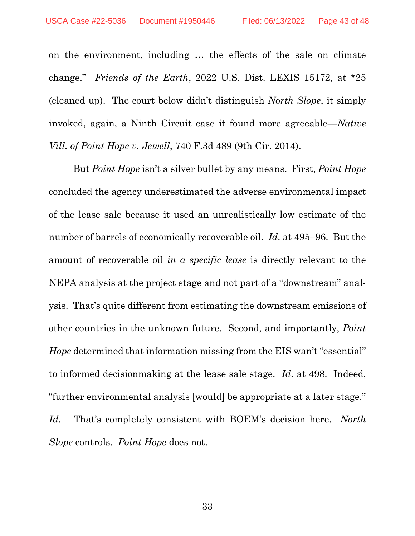on the environment, including … the effects of the sale on climate change." *Friends of the Earth*, 2022 U.S. Dist. LEXIS 15172, at \*25 (cleaned up). The court below didn't distinguish *North Slope*, it simply invoked, again, a Ninth Circuit case it found more agreeable—*Native Vill. of Point Hope v. Jewell*, 740 F.3d 489 (9th Cir. 2014).

But *Point Hope* isn't a silver bullet by any means. First, *Point Hope* concluded the agency underestimated the adverse environmental impact of the lease sale because it used an unrealistically low estimate of the number of barrels of economically recoverable oil. *Id.* at 495–96. But the amount of recoverable oil *in a specific lease* is directly relevant to the NEPA analysis at the project stage and not part of a "downstream" analysis. That's quite different from estimating the downstream emissions of other countries in the unknown future. Second, and importantly, *Point Hope* determined that information missing from the EIS wan't "essential" to informed decisionmaking at the lease sale stage. *Id.* at 498. Indeed, "further environmental analysis [would] be appropriate at a later stage." *Id.* That's completely consistent with BOEM's decision here. *North Slope* controls. *Point Hope* does not.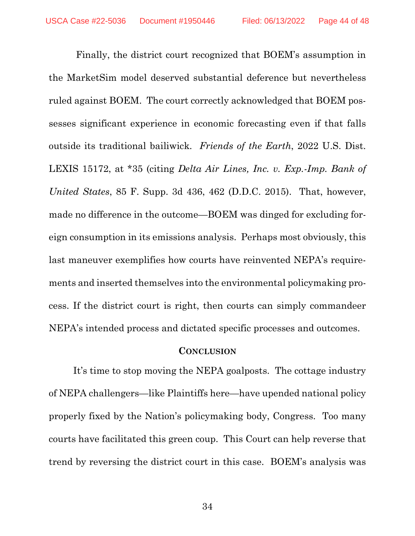Finally, the district court recognized that BOEM's assumption in the MarketSim model deserved substantial deference but nevertheless ruled against BOEM. The court correctly acknowledged that BOEM possesses significant experience in economic forecasting even if that falls outside its traditional bailiwick. *Friends of the Earth*, 2022 U.S. Dist. LEXIS 15172, at \*35 (citing *Delta Air Lines, Inc. v. Exp.-Imp. Bank of United States*, 85 F. Supp. 3d 436, 462 (D.D.C. 2015). That, however, made no difference in the outcome—BOEM was dinged for excluding foreign consumption in its emissions analysis. Perhaps most obviously, this last maneuver exemplifies how courts have reinvented NEPA's requirements and inserted themselves into the environmental policymaking process. If the district court is right, then courts can simply commandeer NEPA's intended process and dictated specific processes and outcomes.

#### **CONCLUSION**

It's time to stop moving the NEPA goalposts. The cottage industry of NEPA challengers—like Plaintiffs here—have upended national policy properly fixed by the Nation's policymaking body, Congress. Too many courts have facilitated this green coup. This Court can help reverse that trend by reversing the district court in this case. BOEM's analysis was

34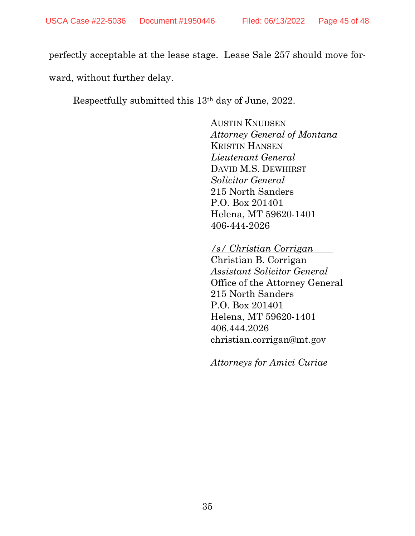perfectly acceptable at the lease stage. Lease Sale 257 should move forward, without further delay.

Respectfully submitted this 13th day of June, 2022.

AUSTIN KNUDSEN *Attorney General of Montana* KRISTIN HANSEN *Lieutenant General* DAVID M.S. DEWHIRST *Solicitor General* 215 North Sanders P.O. Box 201401 Helena, MT 59620-1401 406-444-2026

*/s/ Christian Corrigan* 

Christian B. Corrigan *Assistant Solicitor General* Office of the Attorney General 215 North Sanders P.O. Box 201401 Helena, MT 59620-1401 406.444.2026 christian.corrigan@mt.gov

*Attorneys for Amici Curiae*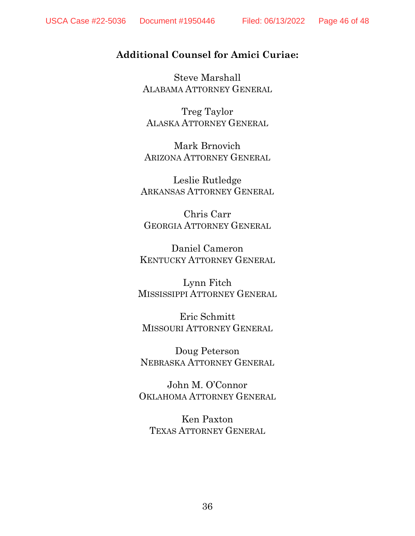# **Additional Counsel for Amici Curiae:**

Steve Marshall ALABAMA ATTORNEY GENERAL

Treg Taylor ALASKA ATTORNEY GENERAL

Mark Brnovich ARIZONA ATTORNEY GENERAL

Leslie Rutledge ARKANSAS ATTORNEY GENERAL

Chris Carr GEORGIA ATTORNEY GENERAL

Daniel Cameron KENTUCKY ATTORNEY GENERAL

Lynn Fitch MISSISSIPPI ATTORNEY GENERAL

Eric Schmitt MISSOURI ATTORNEY GENERAL

Doug Peterson NEBRASKA ATTORNEY GENERAL

John M. O'Connor OKLAHOMA ATTORNEY GENERAL

Ken Paxton TEXAS ATTORNEY GENERAL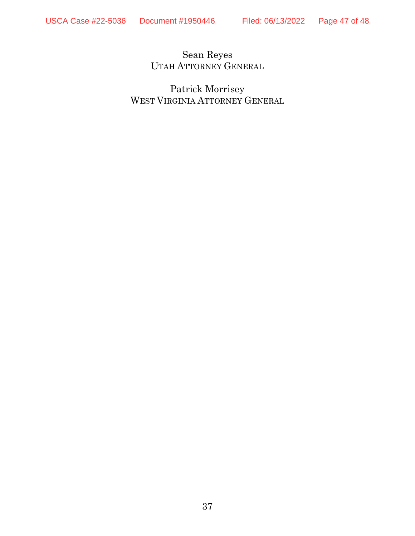Sean Reyes UTAH ATTORNEY GENERAL

Patrick Morrisey WEST VIRGINIA ATTORNEY GENERAL